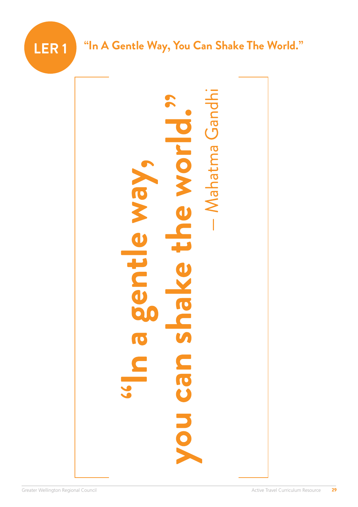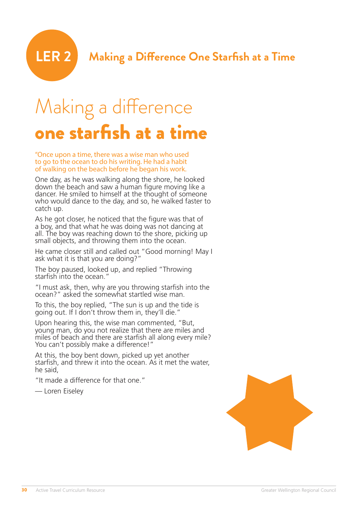# Making a difference one starfish at a time

"Once upon a time, there was a wise man who used to go to the ocean to do his writing. He had a habit of walking on the beach before he began his work.

One day, as he was walking along the shore, he looked down the beach and saw a human figure moving like a dancer. He smiled to himself at the thought of someone who would dance to the day, and so, he walked faster to catch up.

As he got closer, he noticed that the figure was that of a boy, and that what he was doing was not dancing at all. The boy was reaching down to the shore, picking up small objects, and throwing them into the ocean.

He came closer still and called out "Good morning! May I ask what it is that you are doing?"

The boy paused, looked up, and replied "Throwing starfish into the ocean."

"I must ask, then, why are you throwing starfish into the ocean?" asked the somewhat startled wise man.

To this, the boy replied, "The sun is up and the tide is going out. If I don't throw them in, they'll die."

Upon hearing this, the wise man commented, "But, young man, do you not realize that there are miles and miles of beach and there are starfish all along every mile? You can't possibly make a difference!"

At this, the boy bent down, picked up yet another starfish, and threw it into the ocean. As it met the water, he said,

"It made a difference for that one."

— Loren Eiseley

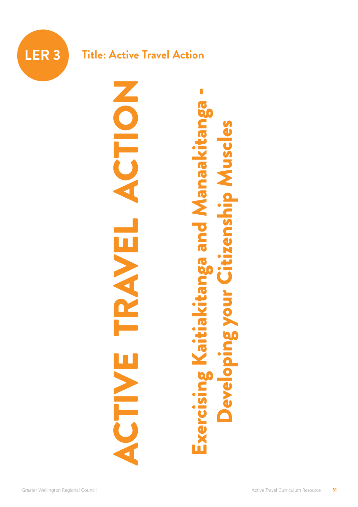

## **Title: Active Travel Action**

ACTIVE TRAVEL ACTION Exercising Kaitiakitanga and Manaakitanga -

Developing your Citizenship Muscles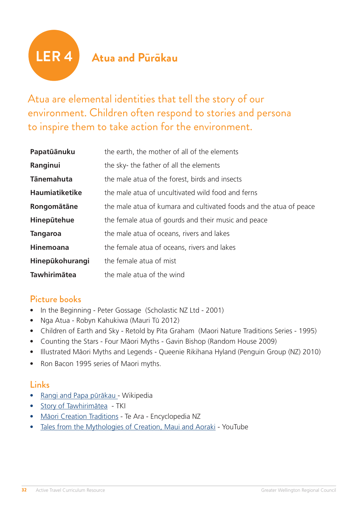# **LER 4 Atua and Pūrākau**

Atua are elemental identities that tell the story of our environment. Children often respond to stories and persona to inspire them to take action for the environment.

| Papatūānuku     | the earth, the mother of all of the elements                       |
|-----------------|--------------------------------------------------------------------|
| Ranginui        | the sky-the father of all the elements                             |
| Tānemahuta      | the male atua of the forest, birds and insects                     |
| Haumiatiketike  | the male atua of uncultivated wild food and ferns                  |
| Rongomātāne     | the male atua of kumara and cultivated foods and the atua of peace |
| Hinepūtehue     | the female atua of gourds and their music and peace                |
| <b>Tangaroa</b> | the male atua of oceans, rivers and lakes                          |
| Hinemoana       | the female atua of oceans, rivers and lakes                        |
| Hinepūkohurangi | the female atua of mist                                            |
| Tawhirimātea    | the male atua of the wind                                          |

### Picture books

- In the Beginning Peter Gossage (Scholastic NZ Ltd 2001)
- Nga Atua Robyn Kahukiwa (Mauri Tü 2012)
- Children of Earth and Sky Retold by Pita Graham (Maori Nature Traditions Series 1995)
- Counting the Stars Four Mäori Myths Gavin Bishop (Random House 2009)
- Illustrated Mäori Myths and Legends Queenie Rikihana Hyland (Penguin Group (NZ) 2010)
- Ron Bacon 1995 series of Maori myths.

### Links

- Rangi and Papa püräkau Wikipedia
- Story of Tawhirimätea TKI
- Mäori Creation Traditions Te Ara Encyclopedia NZ
- Tales from the Mythologies of Creation, Maui and Aoraki YouTube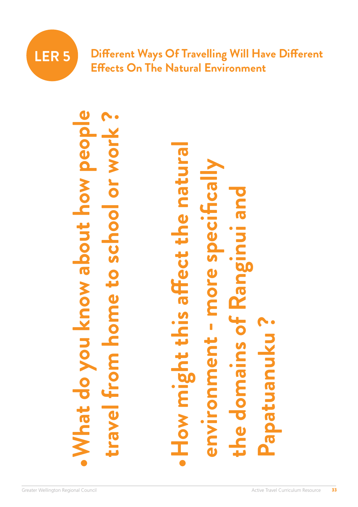

**LER 5 Different Ways Of Travelling Will Have Different Effects On The Natural Environment**

> **•What do you know about how people**  do you know about how people **travel from home to school or work ? USC**  $\mathbf{C}$ **PC** What o

**•How might this affect the natural**  patura **environment - more specifically the domains of Ranginui and**  affect the more sp **Papatuanuku ? Hant** Papatu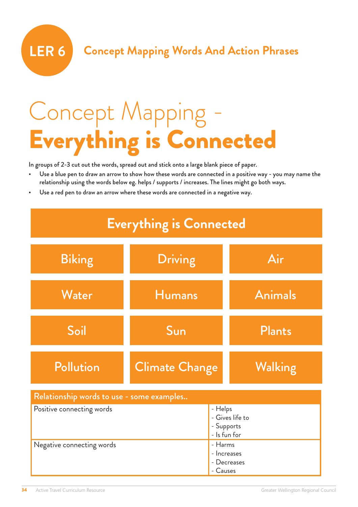

# Concept Mapping - Everything is Connected

In groups of 2-3 cut out the words, spread out and stick onto a large blank piece of paper.

- Use a blue pen to draw an arrow to show how these words are connected in a positive way you may name the relationship using the words below eg. helps / supports / increases. The lines might go both ways.
- Use a red pen to draw an arrow where these words are connected in a negative way.



| Relationship words to use - some examples |                                                           |
|-------------------------------------------|-----------------------------------------------------------|
| Positive connecting words                 | - Helps<br> - Gives life to<br>- Supports<br>- Is fun for |
| Negative connecting words                 | - Harms<br>- Increases<br>- Decreases<br>- Causes         |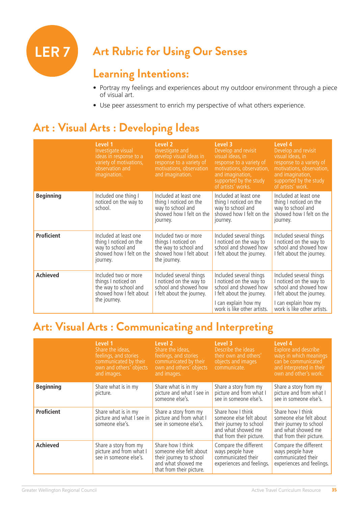# **LER 7 Art Rubric for Using Our Senses**

## **Learning Intentions:**

- Portray my feelings and experiences about my outdoor environment through a piece of visual art.
- Use peer assessment to enrich my perspective of what others experience.

# **Art : Visual Arts : Developing Ideas**

|                   | Level 1<br>Investigate visual<br>ideas in response to a<br>variety of motivations,<br>observation and<br>imagination. | Level <sub>2</sub><br>Investigate and<br>develop visual ideas in<br>response to a variety of<br>motivations, observation<br>and imagination. | Level 3<br>Develop and revisit<br>visual ideas, in<br>response to a variety of<br>motivations, observation,<br>and imagination,<br>supported by the study<br>of artists' works. | Level 4<br>Develop and revisit<br>visual ideas, in<br>response to a variety of<br>motivations, observation,<br>and imagination,<br>supported by the study<br>of artists' work. |
|-------------------|-----------------------------------------------------------------------------------------------------------------------|----------------------------------------------------------------------------------------------------------------------------------------------|---------------------------------------------------------------------------------------------------------------------------------------------------------------------------------|--------------------------------------------------------------------------------------------------------------------------------------------------------------------------------|
| <b>Beginning</b>  | Included one thing I<br>noticed on the way to<br>school.                                                              | Included at least one<br>thing I noticed on the<br>way to school and<br>showed how I felt on the<br>journey.                                 | Included at least one<br>thing I noticed on the<br>way to school and<br>showed how I felt on the<br>journey.                                                                    | Included at least one<br>thing I noticed on the<br>way to school and<br>showed how I felt on the<br>journey.                                                                   |
| <b>Proficient</b> | Included at least one<br>thing I noticed on the<br>way to school and<br>showed how I felt on the<br>journey.          | Included two or more<br>things I noticed on<br>the way to school and<br>showed how I felt about<br>the journey.                              | Included several things<br>I noticed on the way to<br>school and showed how<br>I felt about the journey.                                                                        | Included several things<br>I noticed on the way to<br>school and showed how<br>I felt about the journey.                                                                       |
| <b>Achieved</b>   | Included two or more<br>things I noticed on<br>the way to school and<br>showed how I felt about<br>the journey.       | Included several things<br>I noticed on the way to<br>school and showed how<br>I felt about the journey.                                     | Included several things<br>I noticed on the way to<br>school and showed how<br>I felt about the journey.<br>I can explain how my<br>work is like other artists.                 | Included several things<br>I noticed on the way to<br>school and showed how<br>I felt about the journey.<br>I can explain how my<br>work is like other artists.                |

# **Art: Visual Arts : Communicating and Interpreting**

|                   | Level 1<br>Share the ideas,<br>feelings, and stories<br>communicated by their<br>own and others' objects<br>and images. | Level 2<br>Share the ideas,<br>feelings, and stories<br>communicated by their<br>own and others' objects<br>and images.   | Level 3<br>Describe the ideas<br>their own and others'<br>objects and images<br>communicate.                              | Level 4<br>Explore and describe<br>ways in which meanings<br>can be communicated<br>and interpreted in their<br>own and other's work. |
|-------------------|-------------------------------------------------------------------------------------------------------------------------|---------------------------------------------------------------------------------------------------------------------------|---------------------------------------------------------------------------------------------------------------------------|---------------------------------------------------------------------------------------------------------------------------------------|
| <b>Beginning</b>  | Share what is in my<br>picture.                                                                                         | Share what is in my<br>picture and what I see in<br>someone else's.                                                       | Share a story from my<br>picture and from what I<br>see in someone else's.                                                | Share a story from my<br>picture and from what I<br>see in someone else's.                                                            |
| <b>Proficient</b> | Share what is in my<br>picture and what I see in<br>someone else's.                                                     | Share a story from my<br>picture and from what I<br>see in someone else's.                                                | Share how I think<br>someone else felt about<br>their journey to school<br>and what showed me<br>that from their picture. | Share how I think<br>someone else felt about<br>their journey to school<br>and what showed me<br>that from their picture.             |
| <b>Achieved</b>   | Share a story from my<br>picture and from what I<br>see in someone else's.                                              | Share how I think<br>someone else felt about<br>their journey to school<br>and what showed me<br>that from their picture. | Compare the different<br>ways people have<br>communicated their<br>experiences and feelings.                              | Compare the different<br>ways people have<br>communicated their<br>experiences and feelings.                                          |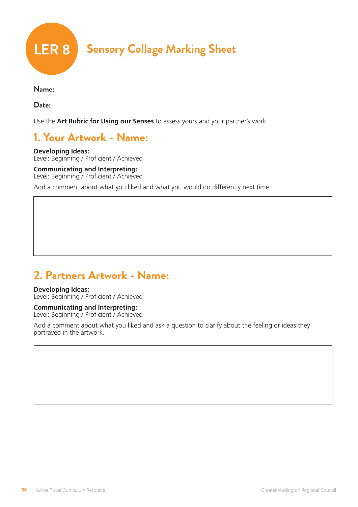

**Name:**

**Date:**

Use the **Art Rubric for Using our Senses** to assess yours and your partner's work.

## **1. Your Artwork - Name:**

**Developing Ideas:**  Level: Beginning / Proficient / Achieved

#### **Communicating and Interpreting:**  Level: Beginning / Proficient / Achieved

Add a comment about what you liked and what you would do differently next time.

## **2. Partners Artwork - Name:**

#### **Developing Ideas:**

Level: Beginning / Proficient / Achieved

#### **Communicating and Interpreting:**

Level: Beginning / Proficient / Achieved

Add a comment about what you liked and ask a question to clarify about the feeling or ideas they portrayed in the artwork.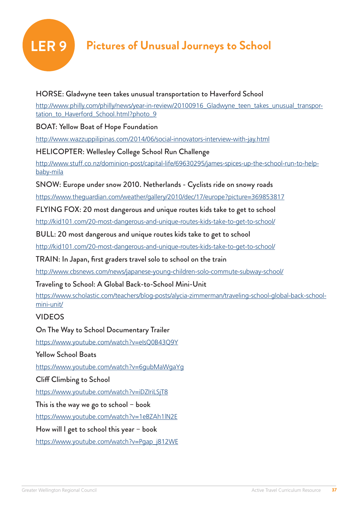

# **LER 9 Pictures of Unusual Journeys to School**

#### HORSE: Gladwyne teen takes unusual transportation to Haverford School

http://www.philly.com/philly/news/year-in-review/20100916 Gladwyne teen takes unusual transportation to Haverford School.html?photo 9

#### BOAT: Yellow Boat of Hope Foundation

http://www.wazzuppilipinas.com/2014/06/social-innovators-interview-with-jay.html

### HELICOPTER: Wellesley College School Run Challenge

http://www.stuff.co.nz/dominion-post/capital-life/69630295/james-spices-up-the-school-run-to-helpbaby-mila

#### SNOW: Europe under snow 2010. Netherlands - Cyclists ride on snowy roads

https://www.theguardian.com/weather/gallery/2010/dec/17/europe?picture=369853817

FLYING FOX: 20 most dangerous and unique routes kids take to get to school

http://kid101.com/20-most-dangerous-and-unique-routes-kids-take-to-get-to-school/

BULL: 20 most dangerous and unique routes kids take to get to school

http://kid101.com/20-most-dangerous-and-unique-routes-kids-take-to-get-to-school/

TRAIN: In Japan, first graders travel solo to school on the train

http://www.cbsnews.com/news/japanese-young-children-solo-commute-subway-school/

#### Traveling to School: A Global Back-to-School Mini-Unit

https://www.scholastic.com/teachers/blog-posts/alycia-zimmerman/traveling-school-global-back-schoolmini-unit/

#### VIDEOS

On The Way to School Documentary Trailer

https://www.youtube.com/watch?v=eIsQ0B43Q9Y

#### Yellow School Boats

https://www.youtube.com/watch?v=6gubMaWgaYg

#### Cliff Climbing to School

https://www.youtube.com/watch?v=iDZIriLSjT8

### This is the way we go to school – book

https://www.youtube.com/watch?v=1eBZAh1lN2E

#### How will I get to school this year – book

https://www.youtube.com/watch?v=Pgap\_j812WE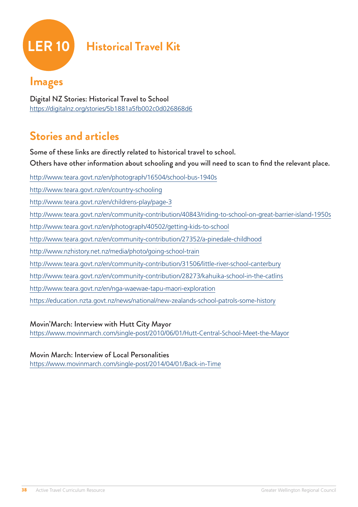

# **LER 10 Historical Travel Kit**

### **Images**

Digital NZ Stories: Historical Travel to School https://digitalnz.org/stories/5b1881a5fb002c0d026868d6

# **Stories and articles**

Some of these links are directly related to historical travel to school.

Others have other information about schooling and you will need to scan to find the relevant place.

http://www.teara.govt.nz/en/photograph/16504/school-bus-1940s

http://www.teara.govt.nz/en/country-schooling

http://www.teara.govt.nz/en/childrens-play/page-3

http://www.teara.govt.nz/en/community-contribution/40843/riding-to-school-on-great-barrier-island-1950s

http://www.teara.govt.nz/en/photograph/40502/getting-kids-to-school

http://www.teara.govt.nz/en/community-contribution/27352/a-pinedale-childhood

http://www.nzhistory.net.nz/media/photo/going-school-train

http://www.teara.govt.nz/en/community-contribution/31506/little-river-school-canterbury

http://www.teara.govt.nz/en/community-contribution/28273/kahuika-school-in-the-catlins

http://www.teara.govt.nz/en/nga-waewae-tapu-maori-exploration

https://education.nzta.govt.nz/news/national/new-zealands-school-patrols-some-history

Movin'March: Interview with Hutt City Mayor

https://www.movinmarch.com/single-post/2010/06/01/Hutt-Central-School-Meet-the-Mayor

#### Movin March: Interview of Local Personalities

https://www.movinmarch.com/single-post/2014/04/01/Back-in-Time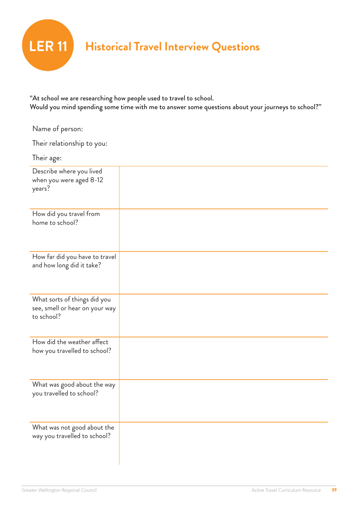

# **LER 11 Historical Travel Interview Questions**

"At school we are researching how people used to travel to school. Would you mind spending some time with me to answer some questions about your journeys to school?"

| Name of person:                                                              |  |
|------------------------------------------------------------------------------|--|
| Their relationship to you:                                                   |  |
| Their age:                                                                   |  |
| Describe where you lived<br>when you were aged 8-12<br>years?                |  |
| How did you travel from<br>home to school?                                   |  |
| How far did you have to travel<br>and how long did it take?                  |  |
| What sorts of things did you<br>see, smell or hear on your way<br>to school? |  |
| How did the weather affect<br>how you travelled to school?                   |  |
| What was good about the way<br>you travelled to school?                      |  |
| What was not good about the<br>way you travelled to school?                  |  |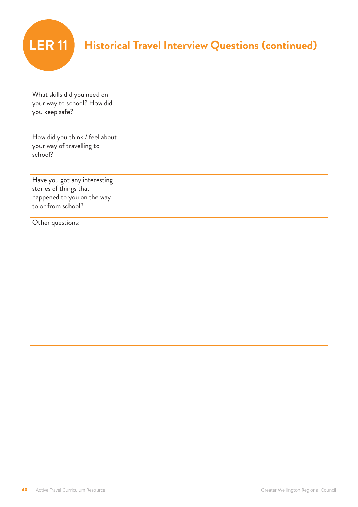

# **LER 11 Historical Travel Interview Questions (continued)**

| What skills did you need on<br>your way to school? How did<br>you keep safe?                               |  |
|------------------------------------------------------------------------------------------------------------|--|
| How did you think / feel about<br>your way of travelling to<br>school?                                     |  |
| Have you got any interesting<br>stories of things that<br>happened to you on the way<br>to or from school? |  |
| Other questions:                                                                                           |  |
|                                                                                                            |  |
|                                                                                                            |  |
|                                                                                                            |  |
|                                                                                                            |  |
|                                                                                                            |  |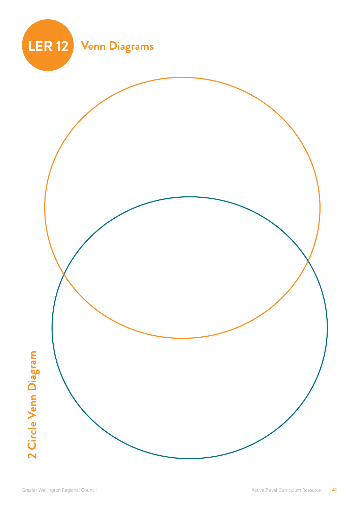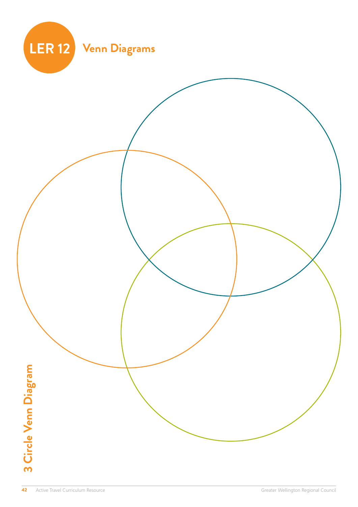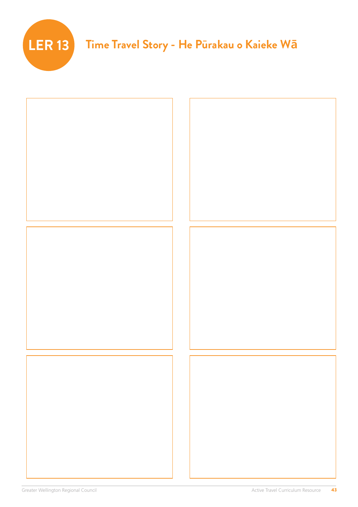

# **LER 13 Time Travel Story - He Pūrakau o Kaieke Wä**

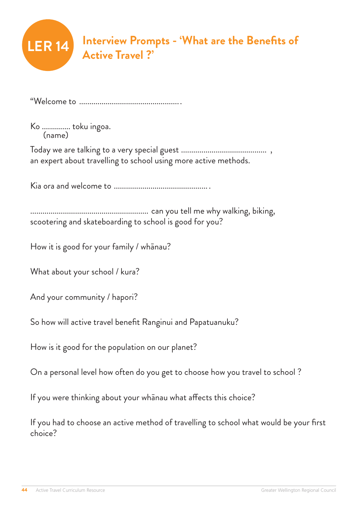

"Welcome to ..................................................

Ko .............. toku ingoa. (name)

Today we are talking to a very special guest .......................................... , an expert about travelling to school using more active methods.

Kia ora and welcome to .............................................. .

.......................................................... can you tell me why walking, biking, scootering and skateboarding to school is good for you?

How it is good for your family / whānau?

What about your school / kura?

And your community / hapori?

So how will active travel benefit Ranginui and Papatuanuku?

How is it good for the population on our planet?

On a personal level how often do you get to choose how you travel to school ?

If you were thinking about your whānau what affects this choice?

If you had to choose an active method of travelling to school what would be your first choice?